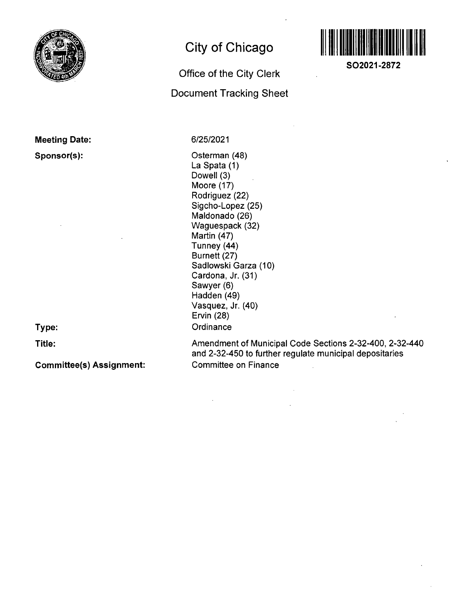

# **Meeting Date:**

**Sponsor(s):** 

**City of Chicago** 

# **Office Of the City Clerk Document Tracking Sheet**



**SO2021-2872** 

6/25/2021

Osterman (48) La Spata (1) Dowell (3) Moore (17) Rodriguez (22) Sigcho-Lopez (25) Maldonado (26) Waguespack (32) Martin (47) Tunney (44) Burnett (27) Sadlowski Garza (10) Cardona, Jr. (31) Sawyer (6) Hadden (49) Vasquez, Jr. (40) Ervin (28) **Ordinance** 

**Type:** 

**Title:** 

**Committee(s) Assignment:** 

Amendment of Municipal Code Sections 2-32-400, 2-32-440 and 2-32-450 to further regulate municipal depositaries Committee on Finance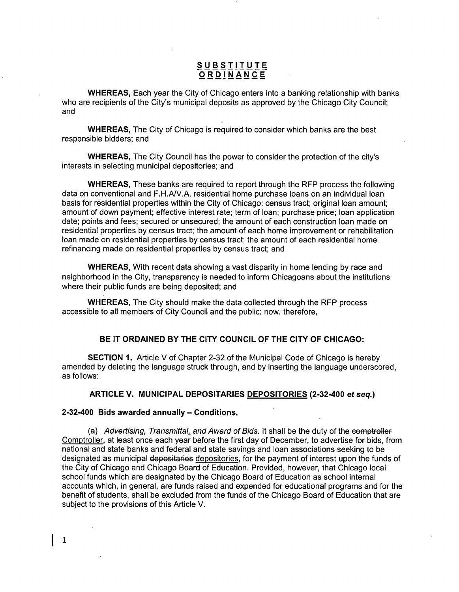### **S U BSIIIUI E ORDINANC E**

WHEREAS, Each year the City of Chicago enters into a banking relationship with banks who are recipients of the City's municipal deposits as approved by the Chicago City Council; and

WHEREAS, The City of Chicago is required to consider which banks are the best responsible bidders; and

WHEREAS, The City Council has the power to consider the protection of the city's interests in selecting municipal depositories; and

WHEREAS, These banks are required to report through the RFP process the following data on conventional and F.H./W.A. residential home purchase loans on an individual loan basis for residential properties within the City of Chicago: census tract; original loan amount; amount of down payment; effective interest rate; term of loan; purchase price; loan application date; points and fees; secured or unsecured; the amount of each construction loan made on residential properties by census tract; the amount of each home improvement or rehabilitation loan made on residential properties by census tract; the amount of each residential home refinancing made on residential properties by census tract; and

WHEREAS, With recent data showing a vast disparity in home lending by race and neighborhood in the City, transparency is needed to inform Chicagoans about the institutions where their public funds are being deposited; and

WHEREAS, The City should make the data collected through the RFP process accessible to all members of City Council and the public; now, therefore,

#### **BE IT ORDAINED BY THE CITY COUNCIL OF THE CITY OF CHICAGO:**

SECTION 1. Article V of Chapter 2-32 of the Municipal Code of Chicago is hereby amended by deleting the language struck through, and by inserting the language underscored, as follows:

#### **ARTICLE V. MUNICIPAL DEPOSITARIES DEPOSITORIES (2-32-400 ef seq.)**

#### **2-32-400 Bids awarded annually - Conditions.**

 $\mathbf{1}$ 

(a) Advertising, Transmittal, and Award of Bids. It shall be the duty of the comptroller Comptroller, at least once each year before the first day of December, to advertise for bids, from national and state banks and federal and state savings and loan associations seeking to be designated as municipal depositaries depositories, for the payment of interest upon the funds of the City of Chicago and Chicago Board of Education. Provided, however, that Chicago local school funds which are designated by the Chicago Board of Education as school internal accounts which, in general, are funds raised and expended for educational programs and for the benefit of students, shall be excluded from the funds of the Chicago Board of Education that are subject to the provisions of this Article V.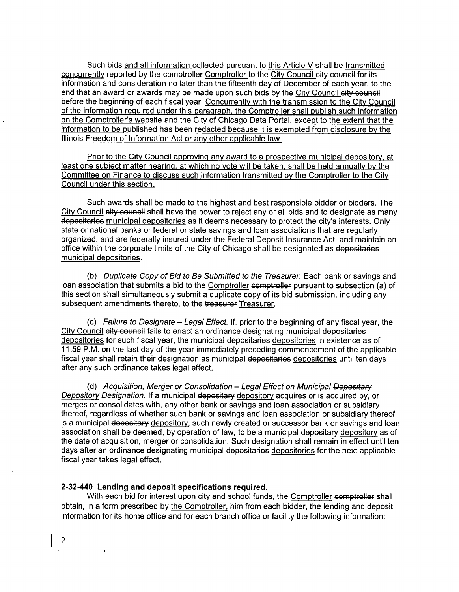Such bids and all information collected pursuant to this Article V shall be transmitted concurrently reported by the comptroller Comptroller to the City Council city council for its information and consideration no later than the fifteenth day of December of each year, to the end that an award or awards may be made upon such bids by the City Council city council before the beginning of each fiscal year. Concurrentiv with the transmission to the Citv Council of the information required under this paragraph, the Comptroller shall publish such information on the Comptroller's website and the Citv of Chicaqo Data Portal, except to the extent that the information to be published has been redacted because it is exempted from disclosure bv the Illinois Freedom of Information Act or anv other applicable law.

Prior to the Citv Council approvinq anv award to a prospective municipal depository, at least one subject matter hearinq. at which no vote will be taken, shall be held annuallv by the Committee on Finance to discuss such information transmitted by the Comptroller to the City Council under this section.

Such awards shall be made to the highest and best responsible bidder or bidders. The City Council city council shall have the power to reject any or all bids and to designate as many depositaries municipal depositories as it deems necessary to protect the city's interests. Only state or national banks or federal or state savings and loan associations that are regulariy organized, and are federally insured underthe Federal Deposit Insurance Act, and maintain an office within the corporate limits of the City of Chicago shall be designated as depositaries municipal depositories.

(b) Duplicate Copy of Bid to Be Submitted to the Treasurer. Each bank or savings and loan association that submits a bid to the Comptroller comptroller pursuant to subsection (a) of this section shall simultaneously submit a duplicate copy of its bid submission, including any subsequent amendments thereto, to the treasurer Treasurer.

(c) Failure to Designate  $-$  Legal Effect. If, prior to the beginning of any fiscal year, the City Council city council fails to enact an ordinance designating municipal depositaries depositories for such fiscal year, the municipal depositaries depositories in existence as of 11:59 P.M. on the last day of the year immediately preceding commencement of the applicable fiscal year shall retain their designation as municipal depositaries depositories until ten days after any such ordinance takes legal effect.

(d) Acquisition, Merger or Consolidation - Legal Effect on Municipal Depositary Depository Designation. If a municipal depositary depository acquires or is acquired by, or merges or consolidates with, any other bank or savings and loan association or subsidiary thereof, regardless of whether such bank or savings and loan association or subsidiary thereof is a municipal depositary depository, such newly created or successor bank or savings and loan association shall be deemed, by operation of law, to be a municipal depositary depository as of the date of acquisition, merger or consolidation. Such designation shall remain in effect until ten days after an ordinance designating municipal depositaries depositories for the next applicable fiscal year takes legal effect.

#### **2-32-440 Lending and deposit specifications required.**

With each bid for interest upon city and school funds, the Comptroller comptroller shall obtain, in a form prescribed by the Comptroller, him from each bidder, the lending and deposit information for its home office and for each branch office or facility the following information: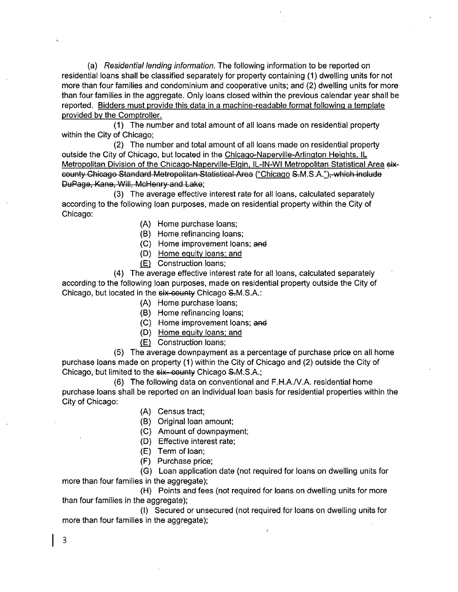(a) Residential lending information. The following information to be reported on residential loans shall be classified separately for property containing (1) dwelling units for not more than four families and condominium and cooperative units; and (2) dwelling units for more than four families in the aggregate. Only loans closed within the previous calendar year shall be reported. Bidders must provide this data in a machine-readable format followinq a template provided by the Comptroller.

(1) The number and total amount of all loans made on residential property within the City of Chicago;

(2) The number and total amount of all loans made on residential property outside the City of Chicago, but located in the Chicago-Naperville-Arlington Heights, IL Metropolitan Division of the Chicago-Naperville-Elgin, IL-IN-WI Metropolitan Statistical Area sixcounty Chicago Standard Metropolitan Statistical Area ("Chicago S-M.S.A."), which include DuPage, Kane, Will, McHenry and Lake;

(3) The average effective interest rate for all loans, calculated separately according to the following loan purposes, made on residential property within the City of Chicago:

- (A) Home purchase loans;
- (B) Home refinancing loans;
- (C) Home improvement loans; and
- (D) Home equity loans: and
- (E) Construction loans;

(4) The average effective interest rate for all loans, calculated separately according to the following loan purposes, made on residential property outside the City of Chicago, but located in the six-county Chicago S-M.S.A.:

- (A) Home purchase loans;
- (B) Home refinancing loans;
- (C) Home improvement loans; and
- (D) Home equity loans: and
- (E) Construction loans;

(5) The average downpayment as a percentage of purchase price on all home purchase loans made on property (1) within the City of Chicago and (2) outside the City of Chicago, but limited to the six-county Chicago S.M.S.A.;

(6) The following data on conventional and F.H.A./V.A. residential home purchase loans shall be reported on an individual loan basis for residential properties within the City of Chicago:

- (A) Census tract;
- (B) Original loan amount;
- (C) Amount of downpayment;
- (D) Effective interest rate;
- (E) Term of loan;
- (F) Purchase price;

(G) Loan application date (not required for loans on dwelling units for more than four families in the aggregate);

(H) Points and fees (not required for loans on dwelling units for more than four families in the aggregate);

(I) Secured or unsecured (not required for loans on dwelling units for more than four families in the aggregate);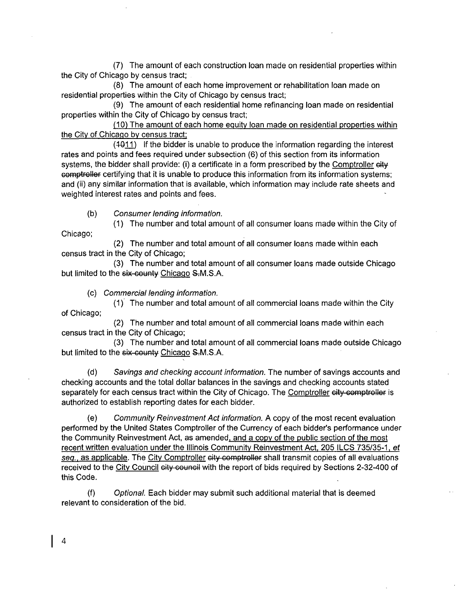(7) The amount of each construction loan made on residential properties within the City of Chicago by census tract;

(8) The amount of each home improvement or rehabilitation loan made on residential properties within the City of Chicago by census tract;

(9) The amount of each residential home refinancing loan made on residential properties within the City of Chicago by census tract;

(10) The amount ofeach home equity loan made on residential properties within the City of Chicaqo by census tract:

 $(4011)$  If the bidder is unable to produce the information regarding the interest rates and points and fees required under subsection (6) of this section from its information systems, the bidder shall provide: (i) a certificate in a form prescribed by the Comptroller eity comptroller certifying that it is unable to produce this information from its information systems; and (ii) any similar information that is available, which information may include rate sheets and weighted interest rates and points and fees.

(b) Consumer lending information.

(1) The number and total amount of all consumer loans made within the City of Chicago;

(2) The number and total amount of all consumer loans made within each census tract in the City of Chicago;

(3) The number and total amount of all consumer loans made outside Chicago but limited to the six-county Chicago S.M.S.A.

(c) Commercial lending information.

(1) The number and total amount of all commercial loans made within the City of Chicago;

(2) The number and total amount of all commercial loans made within each census tract in the City of Chicago;

(3) The number and total amount of all commercial loans made outside Chicago but limited to the six-county Chicago S.M.S.A.

(d) Savings and checking account information. The number of savings accounts and checking accounts and the total dollar balances in the savings and checking accounts stated separately for each census tract within the City of Chicago. The Comptroller eity comptroller is authorized to establish reporting dates for each bidder.

(e) Community Reinvestment Act information. A copy of the most recent evaluation performed by the United States Comptroller of the Currency of each bidder's performance under the Community Reinvestment Act, as amended, and a copy of the public section of the most recent written evaluation under the Illinois Community Reinvestment Act. 205 ILCS 735/35-1, et seq., as applicable. The City Comptroller city comptroller shall transmit copies of all evaluations received to the City Council city council with the report of bids required by Sections 2-32-400 of this Code.

(f) Optional. Each bidder may submit such additional material that is deemed relevant to consideration of the bid.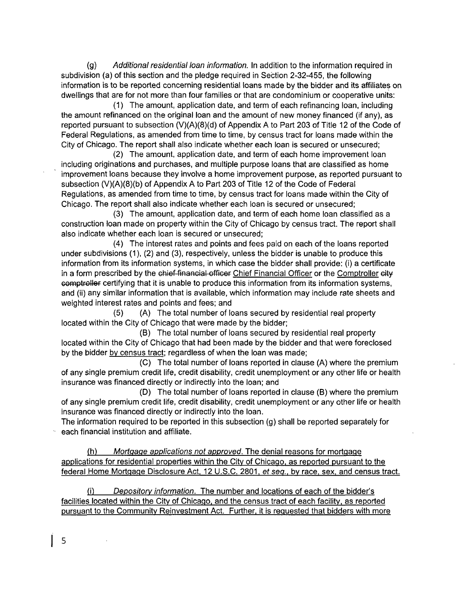(g) Additional residential loan information. In addition to the information required in subdivision (a) of this section and the pledge required in Section 2-32-455, the following information is to be reported concerning residential loans made by the bidder and its affiliates on dwellings that are for not more than four families or that are condominium or cooperative units:

(1) The amount, application date, and term of each refinancing loan, including the amount refinanced on the original loan and the amount of new money financed (if any), as reported pursuant to subsection (V)(A)(8)(d) of Appendix A to Part 203 of Title 12 of the Code of Federal Regulations, as amended from time to time, by census tract for loans made within the City of Chicago. The report shall also indicate whether each loan is secured or unsecured;

(2) The amount, application date, and term of each home improvement loan including originations and purchases, and multiple purpose loans that are classified as home improvement loans because they involve a home improvement purpose, as reported pursuant to subsection (V)(A)(8)(b) of Appendix A to Part 203 of Title 12 of the Code of Federal Regulations, as amended from time to time, by census tract for loans made within the City of Chicago. The report shall also indicate whether each loan is secured or unsecured;

(3) The amount, application date, and term of each home loan classified as a construction loan made on property within the City of Chicago by census tract. The report shall also indicate whether each loan is secured or unsecured;

(4) The interest rates and points and fees paid on each of the loans reported under subdivisions (1), (2) and (3), respectively, unless the bidder is unable to produce this information from its information systems, in which case the bidder shall provide: (i) a certificate in a form prescribed by the chief-financial officer Chief Financial Officer or the Comptroller city comptroller certifying that it is unable to produce this information from its information systems, and (ii) any similar information that is available, which information may include rate sheets and weighted interest rates and points and fees; and

(5) (A) The total number of loans secured by residential real property located within the City of Chicago that were made by the bidder;

(B) The total number of loans secured by residential real property located within the City of Chicago that had been made by the bidder and that were foreclosed by the bidder by census tract: regardless of when the loan was made;

(C) The total number of loans reported in clause (A) where the premium of any single premium credit life, credit disability, credit unemployment or any other life or health insurance was financed directly or indirectiy into the loan; and

(D) The total number of loans reported in clause (B) where the premium of any single premium credit life, credit disability, credit unemployment or any other life or health insurance was financed directly or indirectly into the loan.

The information required to be reported in this subsection (g) shall be reported separately for each financial institution and affiliate.

(h) Mortgage applications not approved. The denial reasons for mortqaqe applications for residential properties within the Citv of Chicaqo. as reported pursuant to the federal Home Mortgage Disclosure Act, 12 U.S.C. 2801, et seq., by race, sex, and census tract.

(i) Depository information. The number and locations of each of the bidder's facilities located within the City of Chicago, and the census tract of each facility, as reported pursuant to the Community Reinvestment Act. Further, it is requested that bidders with more

5